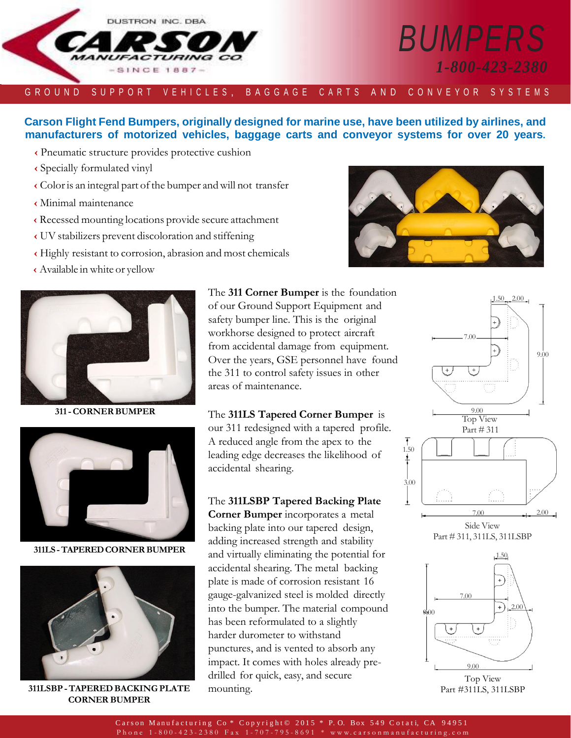

# *BUMPERS 1-800-423-2380*

#### G R O U N D S U P P O R T V E H I C L E S , B A G G A G E C A R T S A N D C O N V E Y O R S Y S T E M S ""

## **Carson Flight Fend Bumpers, originally designed for marine use, have been utilized by airlines, and manufacturers of motorized vehicles, baggage carts and conveyor systems for over 20 years.**

- **‹** Pneumatic structure provides protective cushion
- **‹** Specially formulated vinyl
- **‹** Coloris an integral part ofthe bumper andwill not transfer
- **‹** Minimal maintenance
- **‹** Recessed mounting locations provide secure attachment
- **‹** UV stabilizers prevent discoloration and stiffening
- **‹** Highly resistant to corrosion, abrasion and most chemicals
- **‹** Available in white or yellow



**311-CORNERBUMPER**



**311LS -TAPEREDCORNERBUMPER**



**311LSBP-TAPEREDBACKING PLATE CORNER BUMPER**

The **311 Corner Bumper** is the foundation of our Ground Support Equipment and safety bumper line. This is the original workhorse designed to protect aircraft from accidental damage from equipment. Over the years, GSE personnel have found the 311 to control safety issues in other areas of maintenance.

The **311LS Tapered Corner Bumper** is our 311 redesigned with a tapered profile. A reduced angle from the apex to the leading edge decreases the likelihood of accidental shearing.

The **311LSBP Tapered Backing Plate Corner Bumper** incorporates a metal backing plate into our tapered design, adding increased strength and stability and virtually eliminating the potential for accidental shearing. The metal backing plate is made of corrosion resistant 16 gauge-galvanized steel is molded directly into the bumper. The material compound has been reformulated to a slightly harder durometer to withstand punctures, and is vented to absorb any impact. It comes with holes already predrilled for quick, easy, and secure mounting.







Part #311LS, 311LSBP

Carson Manufacturing Co \* Copyright © 2015 \* P.O. Box 549 Cotati, CA 94951 P h o n e 1 - 8 0 0 - 4 2 3 - 2 3 8 0 F a x 1 - 7 0 7 - 7 9 5 - 8 6 9 1 \* www.c arson m a n u f a c t u ring.com